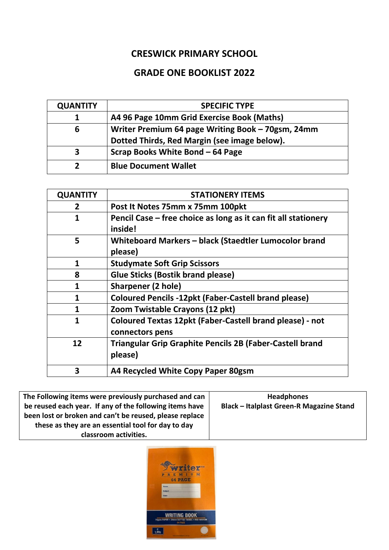## **CRESWICK PRIMARY SCHOOL**

## **GRADE ONE BOOKLIST 2022**

| <b>QUANTITY</b> | <b>SPECIFIC TYPE</b>                              |
|-----------------|---------------------------------------------------|
|                 | A4 96 Page 10mm Grid Exercise Book (Maths)        |
| 6               | Writer Premium 64 page Writing Book - 70gsm, 24mm |
|                 | Dotted Thirds, Red Margin (see image below).      |
| З               | Scrap Books White Bond - 64 Page                  |
| ר               | <b>Blue Document Wallet</b>                       |

| <b>QUANTITY</b> | <b>STATIONERY ITEMS</b>                                                            |
|-----------------|------------------------------------------------------------------------------------|
| $\overline{2}$  | Post It Notes 75mm x 75mm 100pkt                                                   |
| 1               | Pencil Case – free choice as long as it can fit all stationery<br>inside!          |
| 5               | Whiteboard Markers - black (Staedtler Lumocolor brand<br>please)                   |
| 1               | <b>Studymate Soft Grip Scissors</b>                                                |
| 8               | <b>Glue Sticks (Bostik brand please)</b>                                           |
| 1               | <b>Sharpener (2 hole)</b>                                                          |
| 1               | <b>Coloured Pencils -12pkt (Faber-Castell brand please)</b>                        |
| 1               | Zoom Twistable Crayons (12 pkt)                                                    |
| 1               | <b>Coloured Textas 12pkt (Faber-Castell brand please) - not</b><br>connectors pens |
| 12              | <b>Triangular Grip Graphite Pencils 2B (Faber-Castell brand</b><br>please)         |
| 3               | A4 Recycled White Copy Paper 80gsm                                                 |

| The Following items were previously purchased and can   | <b>Headphones</b>                               |
|---------------------------------------------------------|-------------------------------------------------|
| be reused each year. If any of the following items have | <b>Black - Italplast Green-R Magazine Stand</b> |
| been lost or broken and can't be reused, please replace |                                                 |
| these as they are an essential tool for day to day      |                                                 |
| classroom activities.                                   |                                                 |